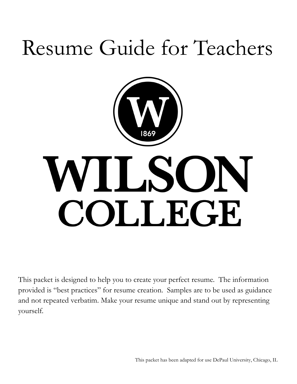## Resume Guide for Teachers



# WILSON COLLEGE

This packet is designed to help you to create your perfect resume. The information provided is "best practices" for resume creation. Samples are to be used as guidance and not repeated verbatim. Make your resume unique and stand out by representing yourself.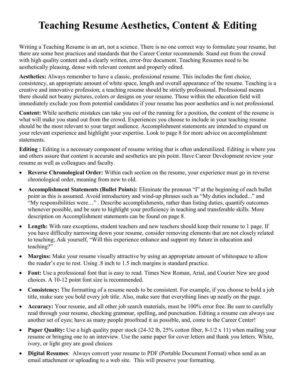## **Teaching Resume Aesthetics, Content & Editing**

Writing a Teaching Resume is an art, not a science. There is no one correct way to formulate your resume, but there are some best practices and standards that the Career Center recommends. Stand out from the crowd with high quality content and a clearly written, error-free document. Teaching Resumes need to be aesthetically pleasing, dense with relevant content and properly edited.

**Aesthetics:** Always remember to have a classic, professional resume. This includes the font choice, consistency, an appropriate amount of white space, length and overall appearance of the resume. Teaching is a creative and innovative profession; a teaching resume should be strictly professional. Professional means there should not beany pictures, colors or designs on your resume. Those within the education field will immediately exclude you from potential candidates if your resume has poor aesthetics and is not professional.

**Content:** While aesthetic mistakes can take you out of the running for a position, the content of the resume is what will make you stand out from the crowd. Experiences you choose to include in your teaching resume should be the most relevant to your target audience. Accomplishment statements are intended to expand on your relevant experience and highlight your expertise. Look to page 8 for more advice on accomplishment statements.

**Editing :** Editing is a necessary component of resume writing that is often underutilized. Editing is where you and others assure that content is accurate and aesthetics are pin point. Have Career Development review your resume as well as colleagues and faculty.

- **Reverse Chronological Order:** Within each section on the resume, your experience must go in reverse chronological order, meaning from new to old.
- **Accomplishment Statements (Bullet Points):** Eliminate the pronoun "I" at the beginning of each bullet point as this is assumed. Avoid introductory and wind-up phrases such as "My duties included..." and "My responsibilities were…" . Describe accomplishments, rather than listing duties, quantify outcomes whenever possible, and be sure to highlight your proficiency in teaching and transferable skills. More description on Accomplishment statements can be found on page 8.
- Length: With rare exceptions, student teachers and new teachers should keep their resume to 1 page. If you have difficulty narrowing down your resume, consider removing elements that are not closely related to teaching; Ask yourself, "Will this experience enhance and support my future in education and teaching?"
- **Margins:** Make your resume visually attractive by using an appropriate amount of whitespace to allow the reader's eye to rest. Using .8 inch to 1.5 inch margins is standard practice.
- **Font:** Use a professional font that is easy to read. Times New Roman, Arial, and Courier New are good choices. A 10-12 point font size is recommended.
- Consistency: The formatting of a resume needs to be consistent. For example, if you choose to bold a job title, make sure you bold every job title. Also, make sure that everything lines up neatly on the page.
- **Accuracy:** Your resume, and all other job search materials, must be 100% error free. Be sure to carefully read through your resume, checking grammar, spelling, and punctuation. Editing a resume can always use another set of eyes; have as many people proofread it as possible, and, come to the Career Center!
- **Paper Quality:** Use a high quality paper stock (24-32 lb, 25% cotton fiber, 8-1/2 x 11) when mailing your resume or bringing one to an interview. Use the same paper for cover letters and thank you letters. White, ivory, or light grey are good choices
- **Digital Resumes**: Always convert your resume to PDF (Portable Document Format) when send as an email attachment or uploading to a web site. This will preserve your formatting.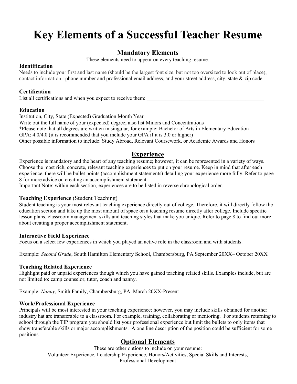## **Key Elements of a Successful Teacher Resume**

#### **Mandatory Elements**

These elements need to appear on every teaching resume.

#### **Identification**

Needs to include your first and last name (should be the largest font size, but not too oversized to look out of place), contact information : phone number and professional email address, and your street address, city, state & zip code

#### **Certification**

List all certifications and when you expect to receive them:

#### **Education**

Institution, City, State (Expected) Graduation Month Year Write out the full name of your (expected) degree; also list Minors and Concentrations \*Please note that all degrees are written in singular, for example: Bachelor of Arts in Elementary Education GPA: 4.0/4.0 (it is recommended that you include your GPA if it is 3.0 or higher) Other possible information to include: Study Abroad, Relevant Coursework, or Academic Awards and Honors

#### **Experience**

Experience is mandatory and the heart of any teaching resume; however, it can be represented in a variety of ways. Choose the most rich, concrete, relevant teaching experiences to put on your resume. Keep in mind that after each experience, there will be bullet points (accomplishment statements) detailing your experience more fully. Refer to page 8 for more advice on creating an accomplishment statement.

Important Note: within each section, experiences are to be listed in reverse chronological order.

#### **Teaching Experience** (Student Teaching)

Student teaching is your most relevant teaching experience directly out of college. Therefore, it will directly follow the education section and take up the most amount of space on a teaching resume directly after college. Include specific lesson plans, classroom management skills and teaching styles that make you unique. Refer to page 8 to find out more about creating a proper accomplishment statement.

#### **Interactive Field Experience**

Focus on a select few experiences in which you played an active role in the classroom and with students.

Example: *Second Grade*, South Hamilton Elementary School, Chambersburg, PA September 20XX– October 20XX

#### **Teaching Related Experience**

Highlight paid or unpaid experiences though which you have gained teaching related skills. Examples include, but are not limited to: camp counselor, tutor, coach and nanny.

Example: *Nanny*, Smith Family, Chambersburg, PA March 20XX-Present

#### **Work/Professional Experience**

Principals will be most interested in your teaching experience; however, you may include skills obtained for another industry hat are transferable to a classroom. For example, training, collaborating or mentoring. For students returning to school through the TIP program you should list your professional experience but limit the bullets to only items that show transferable skills or major accomplishments. A one line description of the position could be sufficient for some positions.

#### **Optional Elements**

These are other options to include on your resume: Volunteer Experience, Leadership Experience, Honors/Activities, Special Skills and Interests, Professional Development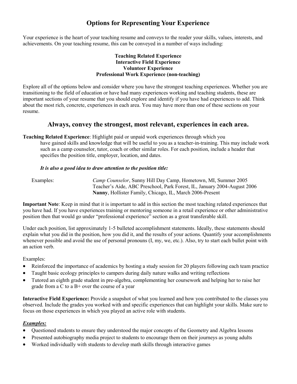#### **Options for Representing Your Experience**

Your experience is the heart of your teaching resume and conveys to the reader your skills, values, interests, and achievements. On your teaching resume, this can be conveyed in a number of ways including:

#### **Teaching Related Experience Interactive Field Experience Volunteer Experience Professional Work Experience (non-teaching)**

Explore all of the options below and consider where you have the strongest teaching experiences. Whether you are transitioning to the field of education or have had many experiences working and teaching students, these are important sections of your resume that you should explore and identify if you have had experiences to add. Think about the most rich, concrete, experiences in each area. You may have more than one of these sections on your resume.

#### **Always, convey the strongest, most relevant, experiences in each area.**

**Teaching Related Experience**: Highlight paid or unpaid work experiences through which you have gained skills and knowledge that will be useful to you as a teacher-in-training. This may include work such as a camp counselor, tutor, coach or other similar roles. For each position, include a header that specifies the position title, employer, location, and dates.

#### *It is also a good idea to draw attention to the position title:*

Examples: *Camp Counselor*, Sunny Hill Day Camp, Hometown, MI, Summer 2005 Teacher's Aide, ABC Preschool, Park Forest, IL, January 2004-August 2006 **Nanny**, Hollister Family, Chicago, IL, March 2006-Present

**Important Note**: Keep in mind that it is important to add in this section the most teaching related experiences that you have had. If you have experiences training or mentoring someone in a retail experience or other administrative position then that would go under "professional experience" section as a great transferable skill.

Under each position, list approximately 1-5 bulleted accomplishment statements. Ideally, these statements should explain what you did in the position, how you did it, and the results of your actions. Quantify your accomplishments whenever possible and avoid the use of personal pronouns (I, my, we, etc.). Also, try to start each bullet point with an action verb.

Examples:

- Reinforced the importance of academics by hosting a study session for 20 players following each team practice
- Taught basic ecology principles to campers during daily nature walks and writing reflections
- Tutored an eighth grade student in pre-algebra, complementing her coursework and helping her to raise her grade from a C to a B+ over the course of a year

**Interactive Field Experience:** Provide a snapshot of what you learned and how you contributed to the classes you observed. Include the grades you worked with and specific experiences that can highlight your skills. Make sure to focus on those experiences in which you played an active role with students.

#### *Examples:*

- Questioned students to ensure they understood the major concepts of the Geometry and Algebra lessons
- Presented autobiography media project to students to encourage them on their journeys as young adults
- Worked individually with students to develop math skills through interactive games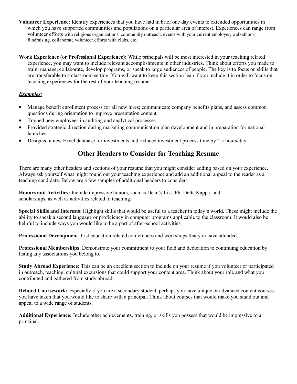- **Volunteer Experience:** Identify experiences that you have had in brief one day events to extended opportunities in which you have supported communities and populations on a particular area of interest. Experiences can range from volunteer efforts with religious organizations, community outreach, events with your current employer, walkathons, fundraising, collaborate volunteer efforts with clubs, etc.
- **Work Experience (or Professional Experience):** While principals will be most interested in your teaching related experience, you may want to include relevant accomplishments in other industries. Think about efforts you made to train, manage, collaborate, develop programs, or speak to large audiences of people. The key is to focus on skills that are transferable to a classroom setting. You will want to keep this section lean if you include it in order to focus on teaching experiences for the rest of your teaching resume.

#### *Examples:*

- Manage benefit enrollment process for all new hires; communicate company benefits plans, and assess common questions during orientation to improve presentation content.
- Trained new employees in auditing and analytical processes.
- Provided strategic direction during marketing communication plan development and in preparation for national launches
- Designed a new Excel database for investments and reduced investment process time by 2.5 hours/day

#### **Other Headers to Consider for Teaching Resume**

There are many other headers and sections of your resume that you might consider adding based on your experience. Always ask yourself what might round out your teaching experience and add an additional appeal to the reader as a teaching candidate. Below are a few samples of additional headers to consider:

**Honors and Activities:** Include impressive honors, such as Dean's List, Phi Delta Kappa, and scholarships, as well as activities related to teaching.

**Special Skills and Interests**: Highlight skills that would be useful to a teacher in today's world. These might include the ability to speak a second language or proficiency in computer programs applicable to the classroom. It would also be helpful to include ways you would like to be a part of after-school activities.

**Professional Development**: List education related conferences and workshops that you have attended.

**Professional Memberships**: Demonstrate your commitment to your field and dedication to continuing education by listing any associations you belong to.

**Study Abroad Experience:** This can be an excellent section to include on your resume if you volunteer or participated in outreach, teaching, cultural excursions that could support your content area. Think about your role and what you contributed and gathered from study abroad.

**Related Coursework:** Especially if you are a secondary student, perhaps you have unique or advanced content courses you have taken that you would like to share with a principal. Think about courses that would make you stand out and appeal to a wide range of students.

**Additional Experience:** Include other achievements, training, or skills you possess that would be impressive to a principal.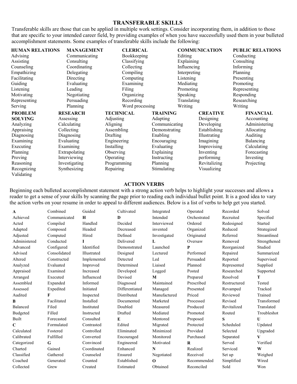#### **TRANSFERABLE SKILLS**

Transferable skills are those that can be applied in multiple work settings. Consider incorporating them, in addition to those that are specific to your intended career field, by providing examples of when you have successfully used them in your bulleted accomplishment statements. Some examples of transferable skills include the following:

| <b>HUMAN RELATIONS</b> | <b>MANAGEMENT</b> | <b>CLERICAL</b>        |                 |              | <b>COMMUNICATION</b> | <b>PUBLIC RELATIONS</b> |  |
|------------------------|-------------------|------------------------|-----------------|--------------|----------------------|-------------------------|--|
| Advising               | Communicating     | Bookkeeping            |                 | Editing      |                      | Conducting              |  |
| Assisting              | Consulting        | Classifying            |                 | Explaining   |                      | Consulting              |  |
| Counseling             | Coordinating      | Collecting             |                 | Influencing  |                      | Informing               |  |
| Empathizing            | Delegating        | Compiling              |                 | Interpreting |                      | Planning                |  |
| Facilitating           | Directing         | Computing<br>Listening |                 |              | Presenting           |                         |  |
| Guiding                | Evaluating        | Examining<br>Mediating |                 |              | Promoting            |                         |  |
| Listening              | Leading           | Filing<br>Promoting    |                 |              | Representing         |                         |  |
| Motivating             | Negotiating       | Speaking<br>Organizing |                 |              | Responding           |                         |  |
| Representing           | Persuading        | Recording              |                 | Translating  |                      | Researching             |  |
| Serving                | Planning          | Word processing        |                 | Writing      |                      | Writing                 |  |
| <b>PROBLEM</b>         | <b>RESEARCH</b>   | <b>TECHNICAL</b>       | <b>TRAINING</b> |              | <b>CREATIVE</b>      | <b>FINANCIAL</b>        |  |
| <b>SOLVING</b>         | Assessing         | Adjusting              | Adapting        |              | Designing            | Accounting              |  |
| Analyzing              | Calculating       | Aligning               | Communicating   |              | Developing           | Administering           |  |
| Appraising             | Collecting        | Assembling             | Demonstrating   |              | Establishing         | Allocating              |  |
| Diagnosing             | Diagnosing        | Drafting               | Enabling        |              | Illustrating         | <b>Auditing</b>         |  |
| Examining              | Evaluating        | Engineering            | Encouraging     |              | Imagining            | Balancing               |  |
| Executing              | Examining         | Installing             | Evaluating      |              | Improvising          | Calculating             |  |
| Planning               | Extrapolating     | Observing              | Explaining      |              | Inventing            | Forecasting             |  |
| Proving                | Interviewing      | Operating              | Instructing     |              | performing           | Investing               |  |
| Reasoning              | Investigating     | Programming            | <b>Planning</b> |              | Revitalizing         | Projecting              |  |
| Recognizing            | Synthesizing      | Repairing              | Stimulating     |              | Visualizing          |                         |  |
| Validating             |                   |                        |                 |              |                      |                         |  |

#### **ACTION VERBS**

Beginning each bulleted accomplishment statement with a strong action verb helps to highlight your successes and allows a reader to get a sense of your skills by scanning the page prior to reading each individual bullet point. It is a good idea to vary the action verbs on your resume in order to appeal to different audiences. Below is a list of verbs to help get you started.

| $\mathbf{A}$    | Combined     | Guided      | Cultivated     | Integrated   | Operated     | Recorded     | Solved         |
|-----------------|--------------|-------------|----------------|--------------|--------------|--------------|----------------|
| Achieved        | Communicated | H           | $\bf{D}$       | Intended     | Orchestrated | Recruited    | Specified      |
| Acted           | Compiled     | Handled     | Decided        | Interviewed  | Ordered      | Redesigned   | <b>Started</b> |
| Adapted         | Composed     | Headed      | Decreased      | invented     | Organized    | Reduced      | Strategized    |
| Adjusted        | Computed     | Hired       | Defined        | Investigated | Originated   | Referred     | Streamlined    |
| Administered    | Conducted    | Т           | Delivered      | L            | Oversaw      | Removed      | Strengthened   |
| Advanced        | Configured   | Identified  | Demonstrated   | Launched     | P            | Reorganized  | Studied        |
| Advised         | Consolidated | Illustrated | Designed       | Lectured     | Performed    | Repaired     | Summarized     |
| Altered         | Constructed  | Implemented | Detected       | Led          | Persuaded    | Reported     | Supervised     |
| Analyzed        | Evaluated    | Improved    | Determined     | Liaised      | Planned      | Represented  | Supplied       |
| Appraised       | Examined     | Increased   | Developed      | Logged       | Posted       | Researched   | Supported      |
| Arranged        | Executed     | Influenced  | Devised        | M            | Prepared     | Resolved     | т              |
| Assembled       | Expanded     | Informed    | Diagnosed      | Maintained   | Prescribed   | Restructured | Tested         |
| Assessed        | Expedited    | Initiated   | Differentiated | Managed      | Presented    | Revamped     | Tracked        |
| Audited         | F            | Inspected   | Distributed    | Manufactured | Priced       | Reviewed     | Trained        |
| B               | Facilitated  | Installed   | Documented     | Marketed     | Processed    | Revised      | Transformed    |
| Balanced        | Filed        | Instituted  | Doubled        | Measured     | Produced     | Revitalized  | Translated     |
| <b>Budgeted</b> | Filled       | Instructed  | Drafted        | Mediated     | Promoted     | Routed       | Troubleshot    |
| Built           | Forecasted   | Consulted   | E              | Mentored     | Proposed     | S            | U              |
| $\mathbf C$     | Formulated   | Contrasted  | Edited         | Migrated     | Protected    | Scheduled    | Updated        |
| Calculated      | Fostered     | Controlled  | Eliminated     | Minimized    | Provided     | Selected     | Upgraded       |
| Calibrated      | Fulfilled    | Converted   | Encouraged     | Monitored    | Purchased    | Separated    | V              |
| Categorized     | G            | Convinced   | Engineered     | Motivated    | R            | Served       | Verified       |
| Charted         | Gained       | Coordinated | Enhanced       | N            | Realized     | Serviced     | W              |
| Classified      | Gathered     | Counseled   | Ensured        | Negotiated   | Received     | Set up       | Weighed        |
| Coached         | Generated    | Counted     | Established    | $\Omega$     | Recommended  | Simplified   | Wired          |
| Collected       | Grew         | Created     | Estimated      | Obtained     | Reconciled   | Sold         | Won            |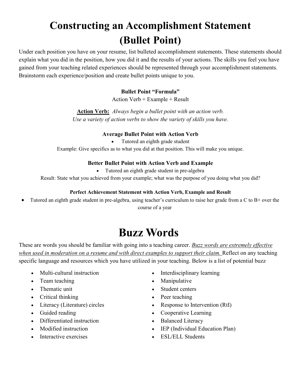## **Constructing an Accomplishment Statement (Bullet Point)**

Under each position you have on your resume, list bulleted accomplishment statements. These statements should explain what you did in the position, how you did it and the results of your actions. The skills you feel you have gained from your teaching related experiences should be represented through your accomplishment statements. Brainstorm each experience/position and create bullet points unique to you.

#### **Bullet Point "Formula"**

Action Verb + Example + Result

**Action Verb:** *Always begin a bullet point with an action verb. Use a variety of action verbs to show the variety of skills you have.*

#### **Average Bullet Point with Action Verb**

• Tutored an eighth grade student

Example: Give specifics as to what you did at that position. This will make you unique.

#### **Better Bullet Point with Action Verb and Example**

Tutored an eighth grade student in pre-algebra

Result: State what you achieved from your example; what was the purpose of you doing what you did?

#### **Perfect Achievement Statement with Action Verb, Example and Result**

• Tutored an eighth grade student in pre-algebra, using teacher's curriculum to raise her grade from a C to B+ over the course of a year

## **Buzz Words**

These are words you should be familiar with going into a teaching career. *Buzz words are extremely effective when used in moderation on a resume and with direct examples to support their claim.* Reflect on any teaching specific language and resources which you have utilized in your teaching. Below is a list of potential buzz

- Multi-cultural instruction
- Team teaching
- Thematic unit
- Critical thinking
- Literacy (Literature) circles
- Guided reading
- Differentiated instruction
- Modified instruction
- Interactive exercises
- Interdisciplinary learning
- Manipulative
- Student centers
- Peer teaching
- Response to Intervention (RtI)
- Cooperative Learning
- Balanced Literacy
- IEP (Individual Education Plan)
- ESL/ELL Students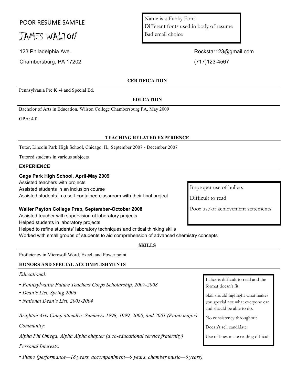#### POOR RESUME SAMPLE

### JAMES WALTON

Chambersburg, PA 17202 (717)123-4567

Pennsylvania Pre K -4 and Special Ed.

Name is a Funky Font Different fonts used in body of resume Bad email choice

123 Philadelphia Ave. **Rockstart23@gmail.com** Rockstart23@gmail.com

#### **CERTIFICATION**

#### **EDUCATION**

Bachelor of Arts in Education, Wilson College Chambersburg PA, May 2009

GPA: 4.0

#### **TEACHING RELATED EXPERIENCE**

Tutor, Lincoln Park High School, Chicago, IL, September 2007 - December 2007

Tutored students in various subjects

#### **EXPERIENCE**

#### **Gage Park High School, April-May 2009**

Assisted teachers with projects

Assisted students in an inclusion course

Assisted students in a self-contained classroom with their final project

#### **Walter Payton College Prep, September-October 2008**

Assisted teacher with supervision of laboratory projects

Helped students in laboratory projects

Helped to refine students' laboratory techniques and critical thinking skills

Worked with small groups of students to aid comprehension of advanced chemistry concepts

**SKILLS**

Proficiency in Microsoft Word, Excel, and Power point

#### **HONORS AND SPECIAL ACCOMPLISHMENTS**

#### *Educational:*

- *Pennsylvania Future Teachers Corps Scholarship, 2007-2008*
- *Dean's List, Spring 2006*
- *National Dean's List, 2003-2004*

*Brighton Arts Camp attendee: Summers 1998, 1999, 2000, and 2001 (Piano major)*

*Community:*

*Alpha Phi Omega, Alpha Alpha chapter (a co-educational service fraternity)*

#### *Personal Interests:*

• *Piano (performance—18 years, accompaniment—9 years, chamber music—6 years)*

Improper use of bullets

Difficult to read

Poor use of achievement statements

Italics is difficult to read and the format doesn't fit.

Skill should highlight what makes you special not what everyone can and should be able to do.

No consistency throughout

Doesn't sell candidate

Use of lines make reading difficult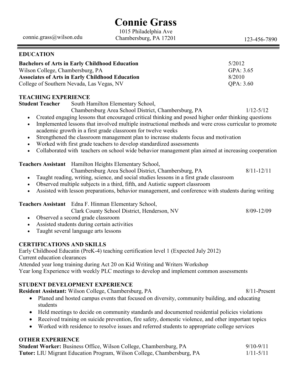## **Connie Grass**

connie.grass@wilson.edu

1015 Philadelphia Ave Chambersburg, PA 17201 123-456-7890

| <b>EDUCATION</b>                                                                                                                                                                                                                                                                                                                                                                                                                                                                                                                                                                                                                                                                                                                                        |                 |  |  |
|---------------------------------------------------------------------------------------------------------------------------------------------------------------------------------------------------------------------------------------------------------------------------------------------------------------------------------------------------------------------------------------------------------------------------------------------------------------------------------------------------------------------------------------------------------------------------------------------------------------------------------------------------------------------------------------------------------------------------------------------------------|-----------------|--|--|
| 5/2012<br><b>Bachelors of Arts in Early Childhood Education</b><br>Wilson College, Chambersburg, PA<br>GPA: 3.65<br><b>Associates of Arts in Early Childhood Education</b><br>8/2010<br>College of Southern Nevada, Las Vegas, NV<br>QPA: 3.60                                                                                                                                                                                                                                                                                                                                                                                                                                                                                                          |                 |  |  |
| <b>TEACHING EXPERIENCE</b><br><b>Student Teacher</b><br>South Hamilton Elementary School,<br>Chambersburg Area School District, Chambersburg, PA<br>Created engaging lessons that encouraged critical thinking and posed higher order thinking questions<br>$\bullet$<br>Implemented lessons that involved multiple instructional methods and were cross curricular to promote<br>$\bullet$<br>academic growth in a first grade classroom for twelve weeks<br>Strengthened the classroom management plan to increase students focus and motivation<br>٠<br>Worked with first grade teachers to develop standardized assessments<br>٠<br>Collaborated with teachers on school wide behavior management plan aimed at increasing cooperation<br>$\bullet$ | $1/12 - 5/12$   |  |  |
| Teachers Assistant Hamilton Heights Elementary School,<br>Chambersburg Area School District, Chambersburg, PA<br>Taught reading, writing, science, and social studies lessons in a first grade classroom<br>$\bullet$<br>Observed multiple subjects in a third, fifth, and Autistic support classroom<br>$\bullet$<br>Assisted with lesson preparations, behavior management, and conference with students during writing<br>$\bullet$                                                                                                                                                                                                                                                                                                                  | $8/11 - 12/11$  |  |  |
| Teachers Assistant Edna F. Hinman Elementary School,<br>Clark County School District, Henderson, NV<br>Observed a second grade classroom<br>$\bullet$<br>Assisted students during certain activities<br>$\bullet$<br>Taught several language arts lessons<br>$\bullet$                                                                                                                                                                                                                                                                                                                                                                                                                                                                                  | $8/09 - 12/09$  |  |  |
| <b>CERTIFICATIONS AND SKILLS</b><br>Early Childhood Educatin (PreK-4) teaching certification level 1 (Expected July 2012)<br>Current education clearances<br>Attended year long training during Act 20 on Kid Writing and Writers Workshop<br>Year long Experience with weekly PLC meetings to develop and implement common assessments                                                                                                                                                                                                                                                                                                                                                                                                                 |                 |  |  |
| <b>STUDENT DEVELOPMENT EXPERIENCE</b><br>Resident Assistant: Wilson College, Chambersburg, PA<br>Planed and hosted campus events that focused on diversity, community building, and educating<br>students                                                                                                                                                                                                                                                                                                                                                                                                                                                                                                                                               | $8/11$ -Present |  |  |

- Held meetings to decide on community standards and documented residential policies violations
- Received training on suicide prevention, fire safety, domestic violence, and other important topics
- Worked with residence to resolve issues and referred students to appropriate college services

#### **OTHER EXPERIENCE**

| <b>Student Worker:</b> Business Office, Wilson College, Chambersburg, PA      | $9/10 - 9/11$ |
|-------------------------------------------------------------------------------|---------------|
| <b>Tutor:</b> LIU Migrant Education Program, Wilson College, Chambersburg, PA | $1/11 - 5/11$ |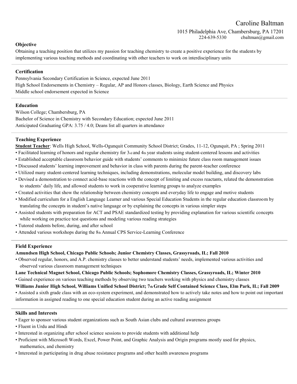Caroline Baltman

1015 Philadelphia Ave, Chambersburg, PA 17201 224-639-5330 cbaltman@gmail.com

#### **Objective**

Obtaining a teaching position that utilizes my passion for teaching chemistry to create a positive experience for the students by implementing various teaching methods and coordinating with other teachers to work on interdisciplinary units

#### **Certification**

Pennsylvania Secondary Certification in Science, expected June 2011 High School Endorsements in Chemistry – Regular, AP and Honors classes, Biology, Earth Science and Physics Middle school endorsement expected in Science

#### **Education**

Wilson College; Chambersburg, PA Bachelor of Science in Chemistry with Secondary Education; expected June 2011 Anticipated Graduating GPA: 3.75 / 4.0; Deans list all quarters in attendance

#### **Teaching Experience**

**Student Teacher**: Wells High School, Wells-Ogunquit Community School District; Grades, 11-12, Ogunquit, PA ; Spring 2011

- Facilitated learning of honors and regular chemistry for 3rd and 4th year students using student-centered lessons and activities
- Established acceptable classroom behavior guide with students' comments to minimize future class room management issues
- Discussed students' learning improvement and behavior in class with parents during the parent-teacher conference
- Utilized many student-centered learning techniques, including demonstrations, molecular model building, and discovery labs
- Devised a demonstration to connect acid-base reactions with the concept of limiting and excess reactants, related the demonstration to students' daily life, and allowed students to work in cooperative learning groups to analyze examples
- Created activities that show the relationship between chemistry concepts and everyday life to engage and motive students
- Modified curriculum for a English Language Learner and various Special Education Students in the regular education classroom by translating the concepts in student's native language or by explaining the concepts in various simpler steps
- Assisted students with preparation for ACT and PSAE standardized testing by providing explanation for various scientific concepts while working on practice test questions and modeling various reading strategies
- Tutored students before, during, and after school
- Attended various workshops during the 8th Annual CPS Service-Learning Conference

#### **Field Experience**

#### **Amundsen High School, Chicago Public Schools; Junior Chemistry Classes, Grassyroads, IL; Fall 2010**

- Observed regular, honors, and A.P. chemistry classes to better understand students' needs, implemented various activities and observed various classroom management techniques
- **Lane Technical Magnet School, Chicago Public Schools; Sophomore Chemistry Classes, Grassyroads, IL; Winter 2010** • Gained experience on various teaching methods by observing two teachers working with physics and chemistry classes
- **Williams Junior High School, Williams Unified School District; 7th Grade Self Contained Science Class, Elm Park, IL; Fall 2009**
- Assisted a sixth grade class with an eco-system experiment, and demonstrated how to actively take notes and how to point out important information in assigned reading to one special education student during an active reading assignment

#### **Skills and Interests**

- Eager to sponsor various student organizations such as South Asian clubs and cultural awareness groups
- Fluent in Urdu and Hindi
- Interested in organizing after school science sessions to provide students with additional help
- Proficient with Microsoft Words, Excel, Power Point, and Graphic Analysis and Origin programs mostly used for physics, mathematics, and chemistry
- Interested in participating in drug abuse resistance programs and other health awareness programs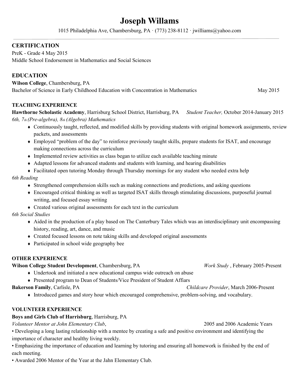#### **Joseph Willams**

1015 Philadelphia Ave, Chambersburg, PA · (773) 238-8112 · jwilliams@yahoo.com

#### **CERTIFICATION**

PreK - Grade 4 May 2015 Middle School Endorsement in Mathematics and Social Sciences

#### **EDUCATION**

**Wilson College**, Chambersburg, PA Bachelor of Science in Early Childhood Education with Concentration in Mathematics May 2015

#### **TEACHING EXPERIENCE**

**Hawthorne Scholastic Academy**, Harrisburg School District, Harrisburg, PA *Student Teacher,* October 2014-January 2015 *6th, 7th (Pre-algebra), 8th (Algebra) Mathematics*

- Continuously taught, reflected, and modified skills by providing students with original homework assignments, review packets, and assessments
- Employed "problem of the day" to reinforce previously taught skills, prepare students for ISAT, and encourage making connections across the curriculum
- $\bullet$  Implemented review activities as class began to utilize each available teaching minute
- Adapted lessons for advanced students and students with learning, and hearing disabilities
- Facilitated open tutoring Monday through Thursday mornings for any student who needed extra help

#### *6th Reading*

- Strengthened comprehension skills such as making connections and predictions, and asking questions
- Encouraged critical thinking as well as targeted ISAT skills through stimulating discussions, purposeful journal writing, and focused essay writing
- $\triangle$  Created various original assessments for each text in the curriculum

#### *6th Social Studies*

- Aided in the production of a play based on The Canterbury Tales which was an interdisciplinary unit encompassing history, reading, art, dance, and music
- Created focused lessons on note taking skills and developed original assessments
- Participated in school wide geography bee

#### **OTHER EXPERIENCE**

#### **Wilson College Student Development**, Chambersburg, PA *Work Study* , February 2005-Present

- Undertook and initiated a new educational campus wide outreach on abuse
- Presented program to Dean of Students/Vice President of Student Affiars

#### **Bakerson Family**, Carlisle, PA *Childcare Provider*, March 2006-Present

Introduced games and story hour which encouraged comprehensive, problem-solving, and vocabulary.

#### **VOLUNTEER EXPERIENCE**

#### **Boys and Girls Club of Harrisburg**, Harrisburg, PA

*Volunteer Mentor at John Elementary Club*, 2005 and 2006 Academic Years

• Developing a long lasting relationship with a mentee by creating a safe and positive environment and identifying the importance of character and healthy living weekly.

• Emphasizing the importance of education and learning by tutoring and ensuring all homework is finished by the end of each meeting.

• Awarded 2006 Mentor of the Year at the Jahn Elementary Club.